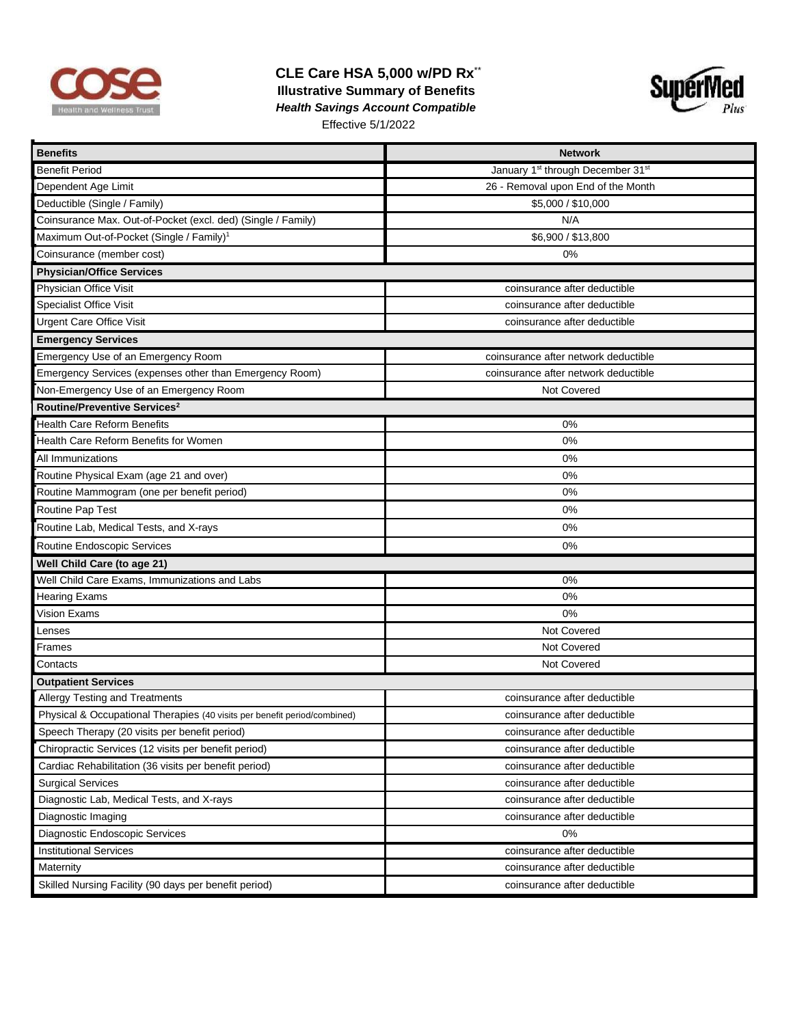

## **CLE Care HSA 5,000 w/PD Rx**\*\*  **Illustrative Summary of Benefits**   *Health Savings Account Compatible*  Effective 5/1/2022



| <b>Benefits</b>                                                           | <b>Network</b>                                            |  |  |  |
|---------------------------------------------------------------------------|-----------------------------------------------------------|--|--|--|
| <b>Benefit Period</b>                                                     | January 1 <sup>st</sup> through December 31 <sup>st</sup> |  |  |  |
| Dependent Age Limit                                                       | 26 - Removal upon End of the Month                        |  |  |  |
| Deductible (Single / Family)                                              | \$5,000 / \$10,000                                        |  |  |  |
| Coinsurance Max. Out-of-Pocket (excl. ded) (Single / Family)              | N/A                                                       |  |  |  |
| Maximum Out-of-Pocket (Single / Family) <sup>1</sup>                      | \$6,900 / \$13,800                                        |  |  |  |
| Coinsurance (member cost)                                                 | $0\%$                                                     |  |  |  |
| <b>Physician/Office Services</b>                                          |                                                           |  |  |  |
| Physician Office Visit                                                    | coinsurance after deductible                              |  |  |  |
| <b>Specialist Office Visit</b>                                            | coinsurance after deductible                              |  |  |  |
| <b>Urgent Care Office Visit</b>                                           | coinsurance after deductible                              |  |  |  |
| <b>Emergency Services</b>                                                 |                                                           |  |  |  |
| Emergency Use of an Emergency Room                                        | coinsurance after network deductible                      |  |  |  |
| Emergency Services (expenses other than Emergency Room)                   | coinsurance after network deductible                      |  |  |  |
| Non-Emergency Use of an Emergency Room                                    | Not Covered                                               |  |  |  |
| Routine/Preventive Services <sup>2</sup>                                  |                                                           |  |  |  |
| <b>Health Care Reform Benefits</b>                                        | 0%                                                        |  |  |  |
| Health Care Reform Benefits for Women                                     | 0%                                                        |  |  |  |
| All Immunizations                                                         | 0%                                                        |  |  |  |
| Routine Physical Exam (age 21 and over)                                   | $0\%$                                                     |  |  |  |
| Routine Mammogram (one per benefit period)                                | 0%                                                        |  |  |  |
| Routine Pap Test                                                          | 0%                                                        |  |  |  |
| Routine Lab, Medical Tests, and X-rays                                    | 0%                                                        |  |  |  |
| Routine Endoscopic Services                                               | 0%                                                        |  |  |  |
| Well Child Care (to age 21)                                               |                                                           |  |  |  |
| Well Child Care Exams, Immunizations and Labs                             | 0%                                                        |  |  |  |
| <b>Hearing Exams</b>                                                      | 0%                                                        |  |  |  |
| Vision Exams                                                              | 0%                                                        |  |  |  |
| enses                                                                     | Not Covered                                               |  |  |  |
| Frames                                                                    | Not Covered                                               |  |  |  |
| Contacts                                                                  | Not Covered                                               |  |  |  |
| <b>Outpatient Services</b>                                                |                                                           |  |  |  |
| Allergy Testing and Treatments                                            | coinsurance after deductible                              |  |  |  |
| Physical & Occupational Therapies (40 visits per benefit period/combined) | coinsurance after deductible                              |  |  |  |
| Speech Therapy (20 visits per benefit period)                             | coinsurance after deductible                              |  |  |  |
| Chiropractic Services (12 visits per benefit period)                      | coinsurance after deductible                              |  |  |  |
| Cardiac Rehabilitation (36 visits per benefit period)                     | coinsurance after deductible                              |  |  |  |
| <b>Surgical Services</b>                                                  | coinsurance after deductible                              |  |  |  |
| Diagnostic Lab, Medical Tests, and X-rays                                 | coinsurance after deductible                              |  |  |  |
| Diagnostic Imaging                                                        | coinsurance after deductible                              |  |  |  |
| Diagnostic Endoscopic Services                                            | 0%                                                        |  |  |  |
| <b>Institutional Services</b>                                             | coinsurance after deductible                              |  |  |  |
| Maternity                                                                 | coinsurance after deductible                              |  |  |  |
| Skilled Nursing Facility (90 days per benefit period)                     | coinsurance after deductible                              |  |  |  |